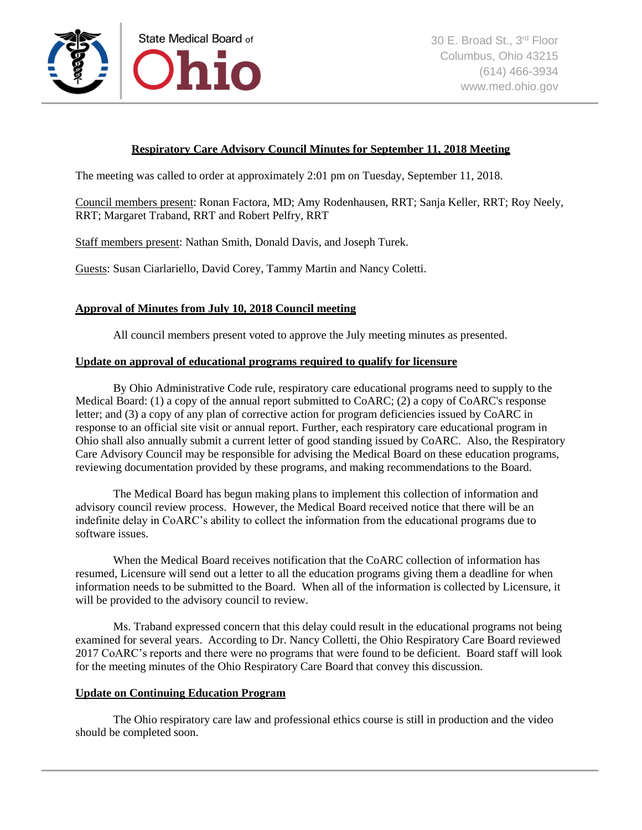

# **Respiratory Care Advisory Council Minutes for September 11, 2018 Meeting**

The meeting was called to order at approximately 2:01 pm on Tuesday, September 11, 2018.

Council members present: Ronan Factora, MD; Amy Rodenhausen, RRT; Sanja Keller, RRT; Roy Neely, RRT; Margaret Traband, RRT and Robert Pelfry, RRT

Staff members present: Nathan Smith, Donald Davis, and Joseph Turek.

Guests: Susan Ciarlariello, David Corey, Tammy Martin and Nancy Coletti.

## **Approval of Minutes from July 10, 2018 Council meeting**

All council members present voted to approve the July meeting minutes as presented.

#### **Update on approval of educational programs required to qualify for licensure**

By Ohio Administrative Code rule, respiratory care educational programs need to supply to the Medical Board: (1) a copy of the annual report submitted to CoARC; (2) a copy of CoARC's response letter; and (3) a copy of any plan of corrective action for program deficiencies issued by CoARC in response to an official site visit or annual report. Further, each respiratory care educational program in Ohio shall also annually submit a current letter of good standing issued by CoARC. Also, the Respiratory Care Advisory Council may be responsible for advising the Medical Board on these education programs, reviewing documentation provided by these programs, and making recommendations to the Board.

The Medical Board has begun making plans to implement this collection of information and advisory council review process. However, the Medical Board received notice that there will be an indefinite delay in CoARC's ability to collect the information from the educational programs due to software issues.

When the Medical Board receives notification that the CoARC collection of information has resumed, Licensure will send out a letter to all the education programs giving them a deadline for when information needs to be submitted to the Board. When all of the information is collected by Licensure, it will be provided to the advisory council to review.

Ms. Traband expressed concern that this delay could result in the educational programs not being examined for several years. According to Dr. Nancy Colletti, the Ohio Respiratory Care Board reviewed 2017 CoARC's reports and there were no programs that were found to be deficient. Board staff will look for the meeting minutes of the Ohio Respiratory Care Board that convey this discussion.

### **Update on Continuing Education Program**

The Ohio respiratory care law and professional ethics course is still in production and the video should be completed soon.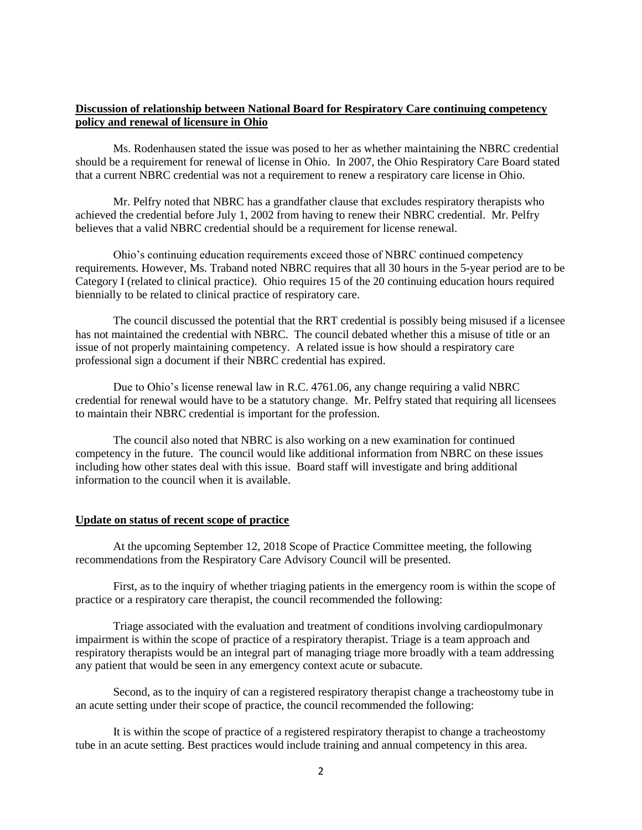### **Discussion of relationship between National Board for Respiratory Care continuing competency policy and renewal of licensure in Ohio**

Ms. Rodenhausen stated the issue was posed to her as whether maintaining the NBRC credential should be a requirement for renewal of license in Ohio. In 2007, the Ohio Respiratory Care Board stated that a current NBRC credential was not a requirement to renew a respiratory care license in Ohio.

Mr. Pelfry noted that NBRC has a grandfather clause that excludes respiratory therapists who achieved the credential before July 1, 2002 from having to renew their NBRC credential. Mr. Pelfry believes that a valid NBRC credential should be a requirement for license renewal.

Ohio's continuing education requirements exceed those of NBRC continued competency requirements. However, Ms. Traband noted NBRC requires that all 30 hours in the 5-year period are to be Category I (related to clinical practice). Ohio requires 15 of the 20 continuing education hours required biennially to be related to clinical practice of respiratory care.

The council discussed the potential that the RRT credential is possibly being misused if a licensee has not maintained the credential with NBRC. The council debated whether this a misuse of title or an issue of not properly maintaining competency. A related issue is how should a respiratory care professional sign a document if their NBRC credential has expired.

Due to Ohio's license renewal law in R.C. 4761.06, any change requiring a valid NBRC credential for renewal would have to be a statutory change. Mr. Pelfry stated that requiring all licensees to maintain their NBRC credential is important for the profession.

The council also noted that NBRC is also working on a new examination for continued competency in the future. The council would like additional information from NBRC on these issues including how other states deal with this issue. Board staff will investigate and bring additional information to the council when it is available.

#### **Update on status of recent scope of practice**

At the upcoming September 12, 2018 Scope of Practice Committee meeting, the following recommendations from the Respiratory Care Advisory Council will be presented.

First, as to the inquiry of whether triaging patients in the emergency room is within the scope of practice or a respiratory care therapist, the council recommended the following:

Triage associated with the evaluation and treatment of conditions involving cardiopulmonary impairment is within the scope of practice of a respiratory therapist. Triage is a team approach and respiratory therapists would be an integral part of managing triage more broadly with a team addressing any patient that would be seen in any emergency context acute or subacute.

Second, as to the inquiry of can a registered respiratory therapist change a tracheostomy tube in an acute setting under their scope of practice, the council recommended the following:

It is within the scope of practice of a registered respiratory therapist to change a tracheostomy tube in an acute setting. Best practices would include training and annual competency in this area.